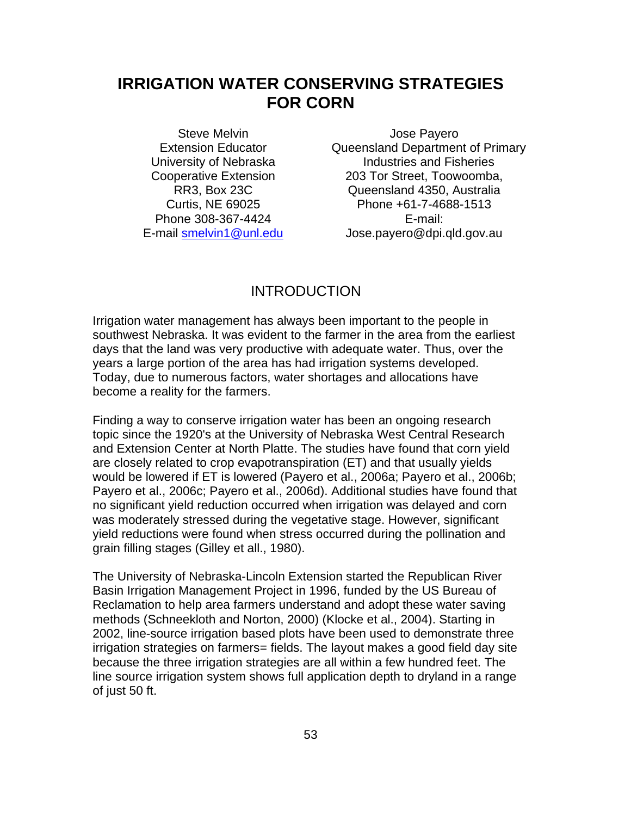# **IRRIGATION WATER CONSERVING STRATEGIES FOR CORN**

Steve Melvin Extension Educator University of Nebraska Cooperative Extension RR3, Box 23C Curtis, NE 69025 Phone 308-367-4424 E-mail smelvin1@unl.edu

Jose Payero Queensland Department of Primary Industries and Fisheries 203 Tor Street, Toowoomba, Queensland 4350, Australia Phone +61-7-4688-1513 E-mail: Jose.payero@dpi.qld.gov.au

# INTRODUCTION

Irrigation water management has always been important to the people in southwest Nebraska. It was evident to the farmer in the area from the earliest days that the land was very productive with adequate water. Thus, over the years a large portion of the area has had irrigation systems developed. Today, due to numerous factors, water shortages and allocations have become a reality for the farmers.

Finding a way to conserve irrigation water has been an ongoing research topic since the 1920's at the University of Nebraska West Central Research and Extension Center at North Platte. The studies have found that corn yield are closely related to crop evapotranspiration (ET) and that usually yields would be lowered if ET is lowered (Payero et al., 2006a; Payero et al., 2006b; Payero et al., 2006c; Payero et al., 2006d). Additional studies have found that no significant yield reduction occurred when irrigation was delayed and corn was moderately stressed during the vegetative stage. However, significant yield reductions were found when stress occurred during the pollination and grain filling stages (Gilley et all., 1980).

The University of Nebraska-Lincoln Extension started the Republican River Basin Irrigation Management Project in 1996, funded by the US Bureau of Reclamation to help area farmers understand and adopt these water saving methods (Schneekloth and Norton, 2000) (Klocke et al., 2004). Starting in 2002, line-source irrigation based plots have been used to demonstrate three irrigation strategies on farmers= fields. The layout makes a good field day site because the three irrigation strategies are all within a few hundred feet. The line source irrigation system shows full application depth to dryland in a range of just 50 ft.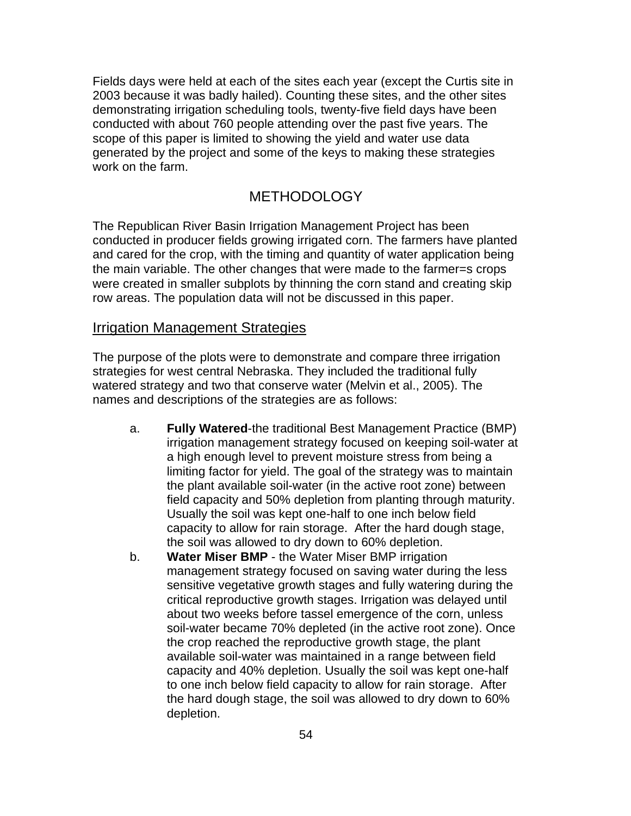Fields days were held at each of the sites each year (except the Curtis site in 2003 because it was badly hailed). Counting these sites, and the other sites demonstrating irrigation scheduling tools, twenty-five field days have been conducted with about 760 people attending over the past five years. The scope of this paper is limited to showing the yield and water use data generated by the project and some of the keys to making these strategies work on the farm.

# METHODOLOGY

The Republican River Basin Irrigation Management Project has been conducted in producer fields growing irrigated corn. The farmers have planted and cared for the crop, with the timing and quantity of water application being the main variable. The other changes that were made to the farmer=s crops were created in smaller subplots by thinning the corn stand and creating skip row areas. The population data will not be discussed in this paper.

#### Irrigation Management Strategies

The purpose of the plots were to demonstrate and compare three irrigation strategies for west central Nebraska. They included the traditional fully watered strategy and two that conserve water (Melvin et al., 2005). The names and descriptions of the strategies are as follows:

- a. **Fully Watered**-the traditional Best Management Practice (BMP) irrigation management strategy focused on keeping soil-water at a high enough level to prevent moisture stress from being a limiting factor for yield. The goal of the strategy was to maintain the plant available soil-water (in the active root zone) between field capacity and 50% depletion from planting through maturity. Usually the soil was kept one-half to one inch below field capacity to allow for rain storage. After the hard dough stage, the soil was allowed to dry down to 60% depletion.
- b. **Water Miser BMP**  the Water Miser BMP irrigation management strategy focused on saving water during the less sensitive vegetative growth stages and fully watering during the critical reproductive growth stages. Irrigation was delayed until about two weeks before tassel emergence of the corn, unless soil-water became 70% depleted (in the active root zone). Once the crop reached the reproductive growth stage, the plant available soil-water was maintained in a range between field capacity and 40% depletion. Usually the soil was kept one-half to one inch below field capacity to allow for rain storage. After the hard dough stage, the soil was allowed to dry down to 60% depletion.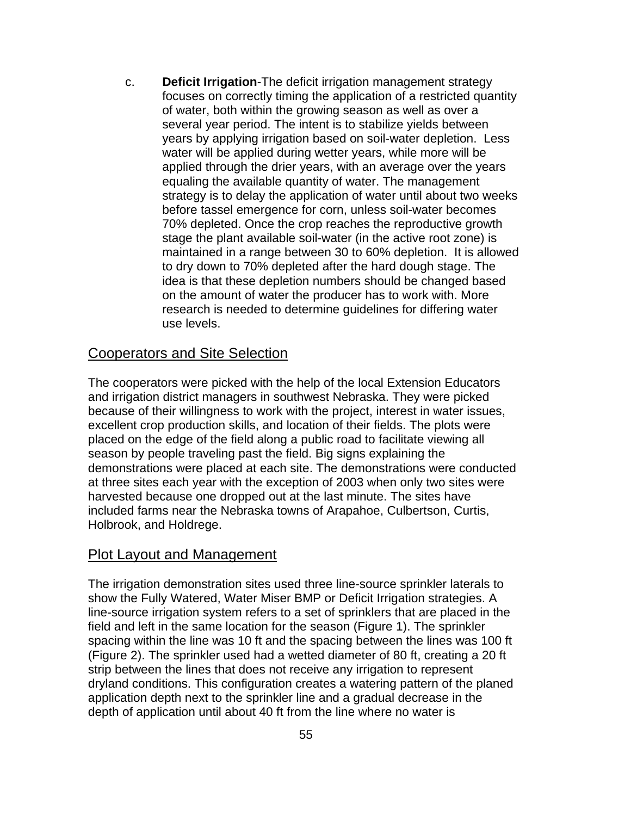c. **Deficit Irrigation**-The deficit irrigation management strategy focuses on correctly timing the application of a restricted quantity of water, both within the growing season as well as over a several year period. The intent is to stabilize yields between years by applying irrigation based on soil-water depletion. Less water will be applied during wetter years, while more will be applied through the drier years, with an average over the years equaling the available quantity of water. The management strategy is to delay the application of water until about two weeks before tassel emergence for corn, unless soil-water becomes 70% depleted. Once the crop reaches the reproductive growth stage the plant available soil-water (in the active root zone) is maintained in a range between 30 to 60% depletion. It is allowed to dry down to 70% depleted after the hard dough stage. The idea is that these depletion numbers should be changed based on the amount of water the producer has to work with. More research is needed to determine guidelines for differing water use levels.

### Cooperators and Site Selection

The cooperators were picked with the help of the local Extension Educators and irrigation district managers in southwest Nebraska. They were picked because of their willingness to work with the project, interest in water issues, excellent crop production skills, and location of their fields. The plots were placed on the edge of the field along a public road to facilitate viewing all season by people traveling past the field. Big signs explaining the demonstrations were placed at each site. The demonstrations were conducted at three sites each year with the exception of 2003 when only two sites were harvested because one dropped out at the last minute. The sites have included farms near the Nebraska towns of Arapahoe, Culbertson, Curtis, Holbrook, and Holdrege.

#### Plot Layout and Management

The irrigation demonstration sites used three line-source sprinkler laterals to show the Fully Watered, Water Miser BMP or Deficit Irrigation strategies. A line-source irrigation system refers to a set of sprinklers that are placed in the field and left in the same location for the season (Figure 1). The sprinkler spacing within the line was 10 ft and the spacing between the lines was 100 ft (Figure 2). The sprinkler used had a wetted diameter of 80 ft, creating a 20 ft strip between the lines that does not receive any irrigation to represent dryland conditions. This configuration creates a watering pattern of the planed application depth next to the sprinkler line and a gradual decrease in the depth of application until about 40 ft from the line where no water is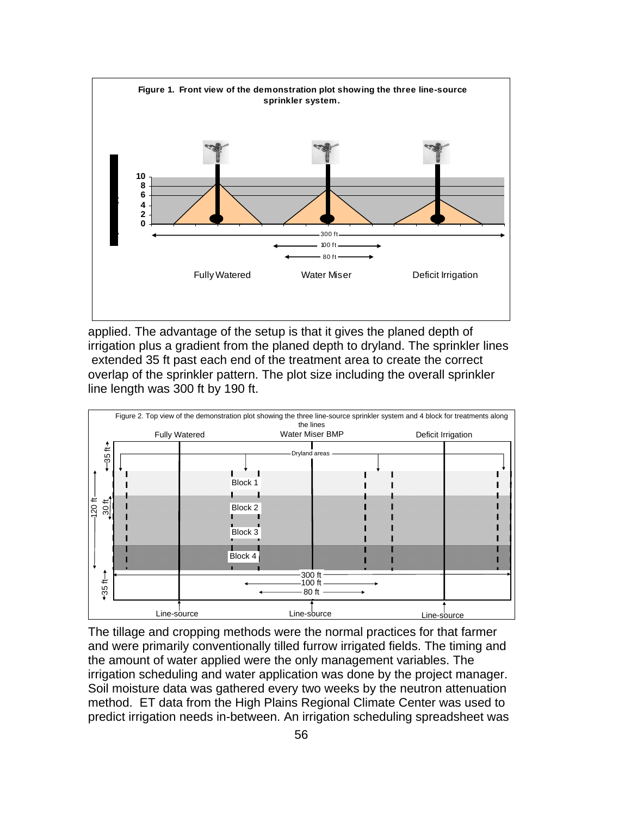

applied. The advantage of the setup is that it gives the planed depth of irrigation plus a gradient from the planed depth to dryland. The sprinkler lines extended 35 ft past each end of the treatment area to create the correct overlap of the sprinkler pattern. The plot size including the overall sprinkler line length was 300 ft by 190 ft.



The tillage and cropping methods were the normal practices for that farmer and were primarily conventionally tilled furrow irrigated fields. The timing and the amount of water applied were the only management variables. The irrigation scheduling and water application was done by the project manager. Soil moisture data was gathered every two weeks by the neutron attenuation method. ET data from the High Plains Regional Climate Center was used to predict irrigation needs in-between. An irrigation scheduling spreadsheet was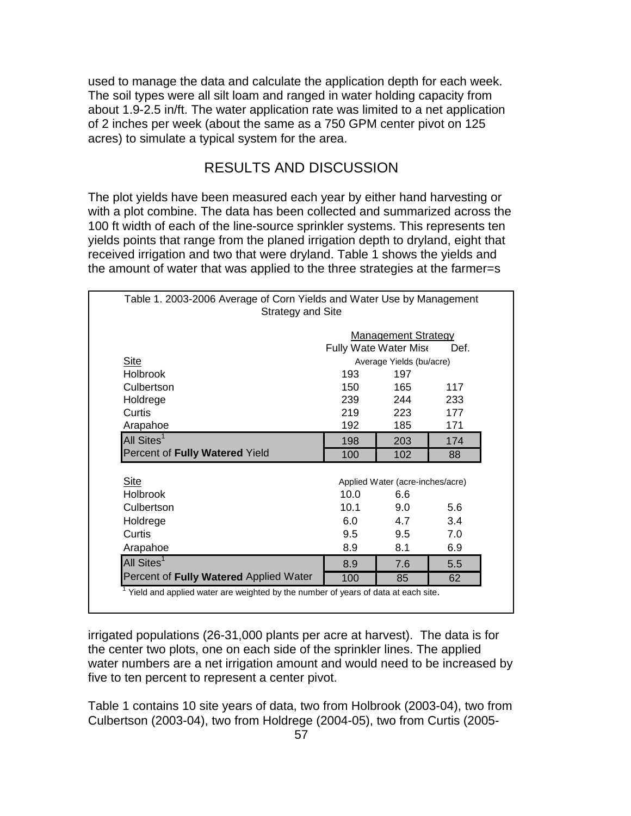used to manage the data and calculate the application depth for each week. The soil types were all silt loam and ranged in water holding capacity from about 1.9-2.5 in/ft. The water application rate was limited to a net application of 2 inches per week (about the same as a 750 GPM center pivot on 125 acres) to simulate a typical system for the area.

# RESULTS AND DISCUSSION

The plot yields have been measured each year by either hand harvesting or with a plot combine. The data has been collected and summarized across the 100 ft width of each of the line-source sprinkler systems. This represents ten yields points that range from the planed irrigation depth to dryland, eight that received irrigation and two that were dryland. Table 1 shows the yields and the amount of water that was applied to the three strategies at the farmer=s

| <b>Strategy and Site</b>               |                       |                                  |     |  |  |
|----------------------------------------|-----------------------|----------------------------------|-----|--|--|
|                                        |                       | <b>Management Strategy</b>       |     |  |  |
|                                        | Fully Wate Water Mise | Def.                             |     |  |  |
| <b>Site</b>                            |                       | Average Yields (bu/acre)         |     |  |  |
| <b>Holbrook</b>                        | 193                   | 197                              |     |  |  |
| Culbertson                             | 150                   | 165                              | 117 |  |  |
| Holdrege                               | 239                   | 244                              | 233 |  |  |
| Curtis                                 | 219                   | 223                              | 177 |  |  |
| Arapahoe                               | 192                   | 185                              | 171 |  |  |
| All Sites <sup>1</sup>                 | 198                   | 203                              | 174 |  |  |
| Percent of Fully Watered Yield         | 100                   | 102                              | 88  |  |  |
|                                        |                       |                                  |     |  |  |
| <b>Site</b>                            |                       | Applied Water (acre-inches/acre) |     |  |  |
| <b>Holbrook</b>                        | 10.0                  | 6.6                              |     |  |  |
| Culbertson                             | 10.1                  | 9.0                              | 5.6 |  |  |
| Holdrege                               | 6.0                   | 4.7                              | 3.4 |  |  |
| Curtis                                 | 9.5                   | 9.5                              | 7.0 |  |  |
| Arapahoe                               | 8.9                   | 8.1                              | 6.9 |  |  |
| All Sites <sup>1</sup>                 | 8.9                   | 7.6                              | 5.5 |  |  |
| Percent of Fully Watered Applied Water | 100                   | 85                               | 62  |  |  |

irrigated populations (26-31,000 plants per acre at harvest). The data is for the center two plots, one on each side of the sprinkler lines. The applied water numbers are a net irrigation amount and would need to be increased by five to ten percent to represent a center pivot.

Table 1 contains 10 site years of data, two from Holbrook (2003-04), two from Culbertson (2003-04), two from Holdrege (2004-05), two from Curtis (2005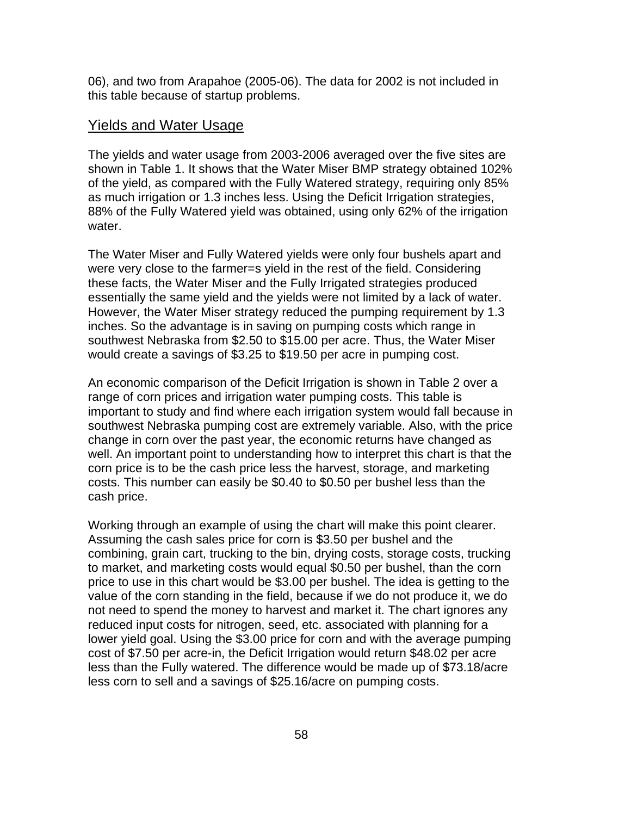06), and two from Arapahoe (2005-06). The data for 2002 is not included in this table because of startup problems.

#### Yields and Water Usage

The yields and water usage from 2003-2006 averaged over the five sites are shown in Table 1. It shows that the Water Miser BMP strategy obtained 102% of the yield, as compared with the Fully Watered strategy, requiring only 85% as much irrigation or 1.3 inches less. Using the Deficit Irrigation strategies, 88% of the Fully Watered yield was obtained, using only 62% of the irrigation water.

The Water Miser and Fully Watered yields were only four bushels apart and were very close to the farmer=s yield in the rest of the field. Considering these facts, the Water Miser and the Fully Irrigated strategies produced essentially the same yield and the yields were not limited by a lack of water. However, the Water Miser strategy reduced the pumping requirement by 1.3 inches. So the advantage is in saving on pumping costs which range in southwest Nebraska from \$2.50 to \$15.00 per acre. Thus, the Water Miser would create a savings of \$3.25 to \$19.50 per acre in pumping cost.

An economic comparison of the Deficit Irrigation is shown in Table 2 over a range of corn prices and irrigation water pumping costs. This table is important to study and find where each irrigation system would fall because in southwest Nebraska pumping cost are extremely variable. Also, with the price change in corn over the past year, the economic returns have changed as well. An important point to understanding how to interpret this chart is that the corn price is to be the cash price less the harvest, storage, and marketing costs. This number can easily be \$0.40 to \$0.50 per bushel less than the cash price.

Working through an example of using the chart will make this point clearer. Assuming the cash sales price for corn is \$3.50 per bushel and the combining, grain cart, trucking to the bin, drying costs, storage costs, trucking to market, and marketing costs would equal \$0.50 per bushel, than the corn price to use in this chart would be \$3.00 per bushel. The idea is getting to the value of the corn standing in the field, because if we do not produce it, we do not need to spend the money to harvest and market it. The chart ignores any reduced input costs for nitrogen, seed, etc. associated with planning for a lower yield goal. Using the \$3.00 price for corn and with the average pumping cost of \$7.50 per acre-in, the Deficit Irrigation would return \$48.02 per acre less than the Fully watered. The difference would be made up of \$73.18/acre less corn to sell and a savings of \$25.16/acre on pumping costs.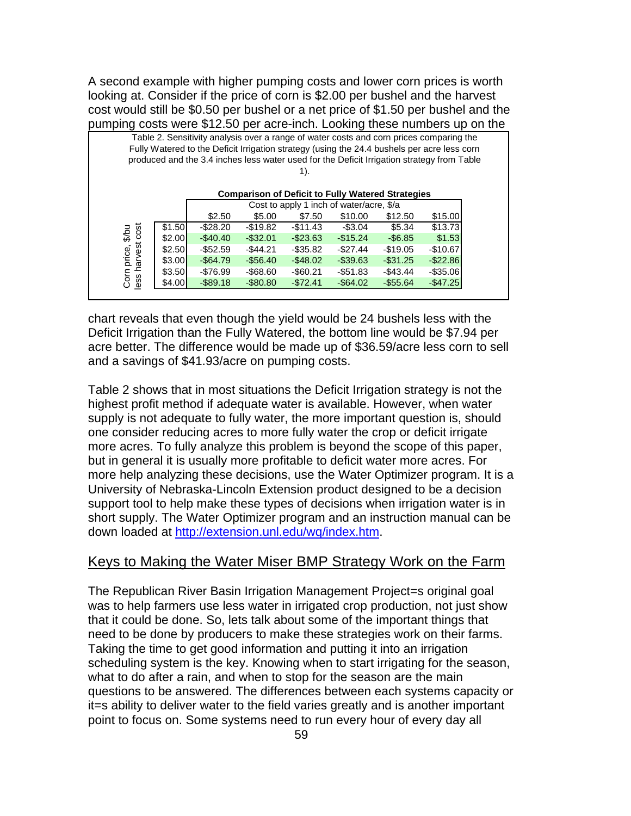A second example with higher pumping costs and lower corn prices is worth looking at. Consider if the price of corn is \$2.00 per bushel and the harvest cost would still be \$0.50 per bushel or a net price of \$1.50 per bushel and the pumping costs were \$12.50 per acre-inch. Looking these numbers up on the

|                           |        | Table 2. Sensitivity analysis over a range of water costs and corn prices comparing the<br>Fully Watered to the Deficit Irrigation strategy (using the 24.4 bushels per acre less corn |                                                          |             |             |             |             |  |
|---------------------------|--------|----------------------------------------------------------------------------------------------------------------------------------------------------------------------------------------|----------------------------------------------------------|-------------|-------------|-------------|-------------|--|
|                           |        | produced and the 3.4 inches less water used for the Deficit Irrigation strategy from Table                                                                                             |                                                          |             |             |             |             |  |
|                           |        |                                                                                                                                                                                        |                                                          | 1).         |             |             |             |  |
|                           |        |                                                                                                                                                                                        |                                                          |             |             |             |             |  |
|                           |        |                                                                                                                                                                                        | <b>Comparison of Deficit to Fully Watered Strategies</b> |             |             |             |             |  |
|                           |        | Cost to apply 1 inch of water/acre, \$/a                                                                                                                                               |                                                          |             |             |             |             |  |
|                           |        | \$2.50                                                                                                                                                                                 | \$5.00                                                   | \$7.50      | \$10.00     | \$12.50     | \$15.00     |  |
|                           | \$1.50 | $-$ \$28.20                                                                                                                                                                            | $-$ \$19.82                                              | $-$11.43$   | -\$3.04     | \$5.34      | \$13.73     |  |
| 10/3                      | \$2.00 | $-$40.40$                                                                                                                                                                              | $-$ \$32.01                                              | $-$ \$23.63 | $-$15.24$   | $-$6.85$    | \$1.53      |  |
|                           | \$2.50 | -\$52.59                                                                                                                                                                               | $-$ \$44.21                                              | -\$35.82    | $-$ \$27.44 | $-$19.05$   | $-$10.67$   |  |
| price,                    | \$3.00 | $-$64.79$                                                                                                                                                                              | $-$56.40$                                                | $-$ \$48.02 | $-$ \$39.63 | $-$ \$31.25 | $-$ \$22.86 |  |
| less harvest cost<br>Corn | \$3.50 | -\$76.99                                                                                                                                                                               | -\$68.60                                                 | $-$ \$60.21 | $-$ \$51.83 | $-$43.44$   | $-$ \$35.06 |  |
|                           | \$4.00 | $-$ \$89.18                                                                                                                                                                            | $-$ \$80.80                                              | $-$72.41$   | $-$ \$64.02 | $-$55.64$   | $-$ \$47.25 |  |

chart reveals that even though the yield would be 24 bushels less with the Deficit Irrigation than the Fully Watered, the bottom line would be \$7.94 per acre better. The difference would be made up of \$36.59/acre less corn to sell and a savings of \$41.93/acre on pumping costs.

Table 2 shows that in most situations the Deficit Irrigation strategy is not the highest profit method if adequate water is available. However, when water supply is not adequate to fully water, the more important question is, should one consider reducing acres to more fully water the crop or deficit irrigate more acres. To fully analyze this problem is beyond the scope of this paper, but in general it is usually more profitable to deficit water more acres. For more help analyzing these decisions, use the Water Optimizer program. It is a University of Nebraska-Lincoln Extension product designed to be a decision support tool to help make these types of decisions when irrigation water is in short supply. The Water Optimizer program and an instruction manual can be down loaded at http://extension.unl.edu/wq/index.htm.

#### Keys to Making the Water Miser BMP Strategy Work on the Farm

The Republican River Basin Irrigation Management Project=s original goal was to help farmers use less water in irrigated crop production, not just show that it could be done. So, lets talk about some of the important things that need to be done by producers to make these strategies work on their farms. Taking the time to get good information and putting it into an irrigation scheduling system is the key. Knowing when to start irrigating for the season, what to do after a rain, and when to stop for the season are the main questions to be answered. The differences between each systems capacity or it=s ability to deliver water to the field varies greatly and is another important point to focus on. Some systems need to run every hour of every day all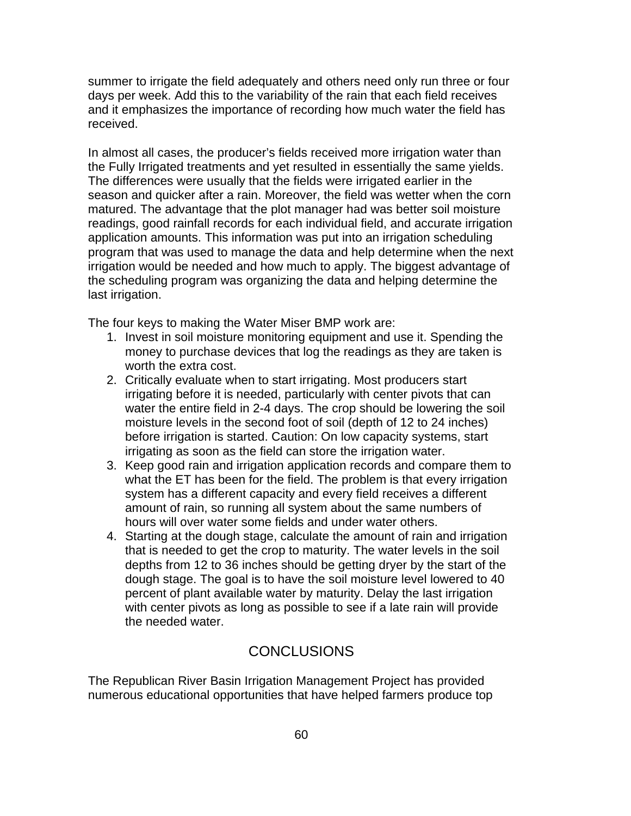summer to irrigate the field adequately and others need only run three or four days per week. Add this to the variability of the rain that each field receives and it emphasizes the importance of recording how much water the field has received.

In almost all cases, the producer's fields received more irrigation water than the Fully Irrigated treatments and yet resulted in essentially the same yields. The differences were usually that the fields were irrigated earlier in the season and quicker after a rain. Moreover, the field was wetter when the corn matured. The advantage that the plot manager had was better soil moisture readings, good rainfall records for each individual field, and accurate irrigation application amounts. This information was put into an irrigation scheduling program that was used to manage the data and help determine when the next irrigation would be needed and how much to apply. The biggest advantage of the scheduling program was organizing the data and helping determine the last irrigation.

The four keys to making the Water Miser BMP work are:

- 1. Invest in soil moisture monitoring equipment and use it. Spending the money to purchase devices that log the readings as they are taken is worth the extra cost.
- 2. Critically evaluate when to start irrigating. Most producers start irrigating before it is needed, particularly with center pivots that can water the entire field in 2-4 days. The crop should be lowering the soil moisture levels in the second foot of soil (depth of 12 to 24 inches) before irrigation is started. Caution: On low capacity systems, start irrigating as soon as the field can store the irrigation water.
- 3. Keep good rain and irrigation application records and compare them to what the ET has been for the field. The problem is that every irrigation system has a different capacity and every field receives a different amount of rain, so running all system about the same numbers of hours will over water some fields and under water others.
- 4. Starting at the dough stage, calculate the amount of rain and irrigation that is needed to get the crop to maturity. The water levels in the soil depths from 12 to 36 inches should be getting dryer by the start of the dough stage. The goal is to have the soil moisture level lowered to 40 percent of plant available water by maturity. Delay the last irrigation with center pivots as long as possible to see if a late rain will provide the needed water.

# **CONCLUSIONS**

The Republican River Basin Irrigation Management Project has provided numerous educational opportunities that have helped farmers produce top